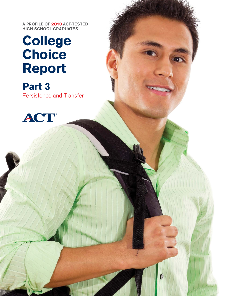A PROFILE OF 2013 ACT-TESTED HIGH SCHOOL GRADUATES

# **College Choice Report**

**Part 3** Persistence and Transfer

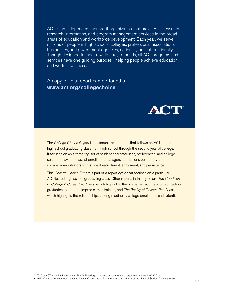ACT is an independent, nonprofit organization that provides assessment, research, information, and program management services in the broad areas of education and workforce development. Each year, we serve millions of people in high schools, colleges, professional associations, businesses, and government agencies, nationally and internationally. Though designed to meet a wide array of needs, all ACT programs and services have one guiding purpose—helping people achieve education and workplace success.

### A copy of this report can be found at **[www.act.org/collegechoice](http://www.act.org/collegechoice)**



The *College Choice Report* is an annual report series that follows an ACT-tested high school graduating class from high school through the second year of college. It focuses on an alternating set of student characteristics, preferences, and college search behaviors to assist enrollment managers, admissions personnel, and other college administrators with student recruitment, enrollment, and persistence.

This *College Choice Report* is part of a report cycle that focuses on a particular ACT-tested high school graduating class. Other reports in this cycle are *The Condition of College & Career Readiness*, which highlights the academic readiness of high school graduates to enter college or career training, and *The Reality of College Readiness*, which highlights the relationships among readiness, college enrollment, and retention.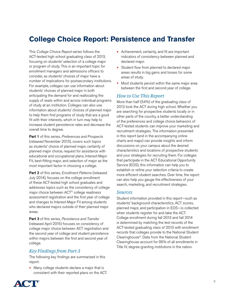# **College Choice Report: Persistence and Transfer**

This *College Choice Report* series follows the ACT-tested high school graduating class of 2013, focusing on students' selection of a college major or program of study. This is an important topic for enrollment managers and admissions officers to consider, as students' choices of major have a number of implications for postsecondary institutions. For example, colleges can use information about students' choices of planned major in both anticipating the demand for and reallocating the supply of seats within and across individual programs of study at an institution. Colleges can also use information about students' choices of planned major to help them find programs of study that are a good fit with their interests, which in turn may help to increase student persistence rates and decrease the overall time to degree.

Part 1 of this series, *Preferences and Prospects* (released November 2013), covers such topics as students' choice of planned major, certainty of planned major choice, request for assistance with educational and occupational plans, Interest-Major Fit, best-fitting major, and selection of major as the most important factor in choosing a college.

Part 2 of this series, *Enrollment Patterns* (released July 2014), focuses on the college enrollment of these ACT-tested high school graduates and addresses topics such as the consistency of college major choice between ACT® college readiness assessment registration and the first year of college and changes to Interest-Major Fit among students who declared majors outside of their planned major areas.

Part 3 of this series, *Persistence and Transfer* (released April 2015) focuses on consistency of college major choice between ACT registration and the second year of college and student persistence within majors between the first and second year of college.

### *Key Findings from Part 3*

The following key findings are summarized in this report:

• Many college students declare a major that is consistent with their reported plans on the ACT.

- Achievement, certainty, and fit are important indicators of consistency between planned and declared major.
- Student flow from planned to declared major areas results in big gains and losses for some areas of study.
- Most students persist within the same major area between the first and second year of college.

### *How to Use This Report*

More than half (54%) of the graduating class of 2013 took the ACT during high school. Whether you are searching for prospective students locally or in other parts of the country, a better understanding of the preferences and college choice behaviors of ACT-tested students can improve your marketing and recruitment strategies. The information presented in this report (and in the accompanying online charts and maps) can provide insights and inform discussions on your campus about the desired characteristics and locations of prospective students and your strategies for recruiting them. For colleges that participate in the ACT Educational Opportunity Service (EOS), this information can help you to establish or refine your selection criteria to create more efficient student searches. Over time, the report can also help you gauge the effectiveness of your search, marketing, and recruitment strategies.

### *Sources*

Student information provided in this report—such as students' background characteristics, ACT scores, planned major, and participation in EOS—is collected when students register for and take the ACT. College enrollment during fall 2013 and fall 2014 is determined by matching the test records of the ACT-tested graduating class of 2013 with enrollment records that colleges provide to the National Student Clearinghouse®. Data from the National Student Clearinghouse account for 95% of all enrollments in Title IV, degree-granting institutions in the nation.

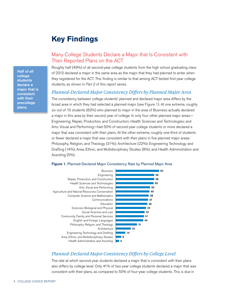# **Key Findings**

### Many College Students Declare a Major that Is Consistent with Their Reported Plans on the ACT

Roughly half (49%) of all second-year college students from the high school graduating class of 2013 declared a major in the same area as the major that they had planned to enter when they registered for the ACT. This finding is similar to that among ACT-tested first-year college students, as shown in *Part 2* of this report series.

### *Planned-Declared Major Consistency Differs by Planned Major Area*

The consistency between college students' planned and declared major area differs by the broad area in which they had selected a planned major (see Figure 1). At one extreme, roughly six out of 10 students (63%) who planned to major in the area of Business actually declared a major in this area by their second year of college. In only four other planned major areas— Engineering; Repair, Production, and Construction; Health Sciences and Technologies; and Arts: Visual and Performing—had 50% of second-year college students or more declared a major that was consistent with their plans. At the other extreme, roughly one-third of students or fewer declared a major that was consistent with their plans in five planned major areas: Philosophy, Religion, and Theology (31%); Architecture (22%); Engineering Technology and Drafting (14%); Area, Ethnic, and Multidisciplinary Studies (8%); and Health Administration and Assisting (5%).

#### Figure 1. Planned-Declared Major Consistency Rate by Planned Major Area



### *Planned-Declared Major Consistency Differs by College Level*

The rate at which second-year students declared a major that is consistent with their plans also differs by college level. Only 41% of two-year college students declared a major that was consistent with their plans, as compared to 50% of four-year college students. This is due in

Half of all college students declare a major that is consistent with their precollege plans.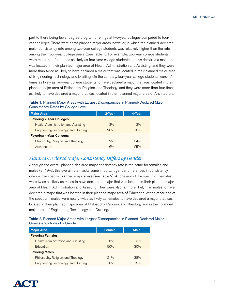part to there being fewer degree program offerings at two-year colleges compared to fouryear colleges. There were some planned major areas, however, in which the planned-declared major consistency rate among two-year college students was relatively higher than the rate among their four-year college peers (See Table 1). For example, two-year college students were more than four times as likely as four-year college students to have declared a major that was located in their planned major area of Health Administration and Assisting; and they were more than twice as likely to have declared a major that was located in their planned major area of Engineering Technology and Drafting. On the contrary, four-year college students were 17 times as likely as two-year college students to have declared a major that was located in their planned major area of Philosophy, Religion, and Theology; and they were more than four times as likely to have declared a major that was located in their planned major area of Architecture.

| Table 1. Planned Major Areas with Largest Discrepancies in Planned-Declared Major |  |
|-----------------------------------------------------------------------------------|--|
| <b>Consistency Rates by College Level</b>                                         |  |

| <b>Major Area</b>                          | 2-Year | 4-Year |
|--------------------------------------------|--------|--------|
| <b>Favoring 2-Year Colleges</b>            |        |        |
| <b>Health Administration and Assisting</b> | 13%    | 3%     |
| <b>Engineering Technology and Drafting</b> | 26%    | 10%    |
| <b>Favoring 4-Year Colleges</b>            |        |        |
| Philosophy, Religion, and Theology         | 2%     | 34%    |
| Architecture                               | 6%     | 25%    |

### *Planned-Declared Major Consistency Differs by Gender*

Although the overall planned-declared major consistency rate is the same for females and males (at 49%), this overall rate masks some important gender differences in consistency rates within specific planned major areas (see Table 2). At one end of the spectrum, females were twice as likely as males to have declared a major that was located in their planned major area of Health Administration and Assisting. They were also far more likely than males to have declared a major that was located in their planned major area of Education. At the other end of the spectrum, males were nearly twice as likely as females to have declared a major that was located in their planned major area of Philosophy, Religion, and Theology and in their planned major area of Engineering Technology and Drafting.

### Table 2. Planned Major Areas with Largest Discrepancies in Planned-Declared Major Consistency Rates by Gender

| <b>Major Area</b>                          | <b>Female</b> | Male |
|--------------------------------------------|---------------|------|
| <b>Favoring Females</b>                    |               |      |
| <b>Health Administration and Assisting</b> | 6%            | 3%   |
| <b>Education</b>                           | 50%           | 30%  |
| <b>Favoring Males</b>                      |               |      |
| Philosophy, Religion, and Theology         | 21%           | 38%  |
| Engineering Technology and Drafting        | 8%            | 15%  |

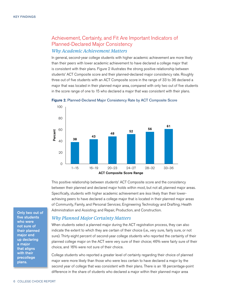### Achievement, Certainty, and Fit Are Important Indicators of Planned-Declared Major Consistency *Why Academic Achievement Matters*

In general, second-year college students with higher academic achievement are more likely than their peers with lower academic achievement to have declared a college major that is consistent with their plans. Figure 2 illustrates the strong positive relationship between students' ACT Composite score and their planned-declared major consistency rate. Roughly three out of five students with an ACT Composite score in the range of 33 to 36 declared a major that was located in their planned major area, compared with only two out of five students in the score range of one to 15 who declared a major that was consistent with their plans.





This positive relationship between students' ACT Composite score and the consistency between their planned and declared major holds within most, but not all, planned major areas. Specifically, students with higher academic achievement are *less* likely than their lowerachieving peers to have declared a college major that is located in their planned major areas of Community, Family, and Personal Services; Engineering Technology and Drafting; Health Administration and Assisting; and Repair, Production, and Construction.

### *Why Planned Major Certainty Matters*

When students select a planned major during the ACT registration process, they can also indicate the extent to which they are certain of their choice (i.e., very sure, fairly sure, or not sure). Thirty-eight percent of second-year college students who reported the certainty of their planned college major on the ACT were very sure of their choice; 46% were fairly sure of their choice, and 16% were not sure of their choice.

College students who reported a greater level of certainty regarding their choice of planned major were more likely than those who were less certain to have declared a major by the second year of college that was consistent with their plans. There is an 18 percentage-point difference in the share of students who declared a major within their planned major area

Only two out of five students who were not sure of their planned major end up declaring a major that aligns with their precollege plans.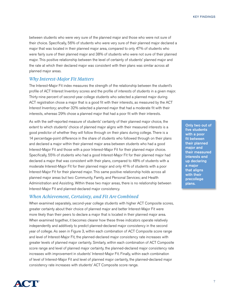Key Findings

between students who were very sure of the planned major and those who were not sure of their choice. Specifically, 56% of students who were very sure of their planned major declared a major that was located in their planned major area, compared to only 47% of students who were fairly sure of their planned major and 38% of students who were not sure of their planned major. This positive relationship between the level of certainty of students' planned major and the rate at which their declared major was consistent with their plans was similar across all planned major areas.

### *Why Interest-Major Fit Matters*

The Interest-Major Fit index measures the strength of the relationship between the student's profile of ACT Interest Inventory scores and the profile of interests of students in a given major. Thirty-nine percent of second-year college students who selected a planned major during ACT registration chose a major that is a good fit with their interests, as measured by the ACT Interest Inventory; another 32% selected a planned major that had a moderate fit with their interests, whereas 29% chose a planned major that had a poor fit with their interests.

As with the self-reported measure of students' certainty of their planned major choice, the extent to which students' choice of planned major aligns with their measured interests is a good predictor of whether they will follow through on their plans during college. There is a 14 percentage-point difference in the share of students who followed through on their plans and declared a major within their planned major area between students who had a good Interest-Major Fit and those with a poor Interest-Major Fit for their planned major choice. Specifically, 55% of students who had a good Interest-Major Fit for their planned major had declared a major that was consistent with their plans, compared to 48% of students with a moderate Interest-Major Fit for their planned major and only 41% of students with a poor Interest-Major Fit for their planned major. This same positive relationship holds across all planned major areas but two: Community, Family, and Personal Services; and Health Administration and Assisting. Within these two major areas, there is no relationship between Interest-Major Fit and planned-declared major consistency.

### *When Achievement, Certainty, and Fit Are Combined*

When examined separately, second-year college students with higher ACT Composite scores, greater certainty about their choice of planned major and better Interest-Major Fit were more likely than their peers to declare a major that is located in their planned major area. When examined together, it becomes clearer how these three indicators operate relatively independently and additively to predict planned-declared major consistency in the second year of college. As seen in Figure 3, within each combination of ACT Composite score range and level of Interest-Major Fit, the planned-declared major consistency rate increases with greater levels of planned major certainty. Similarly, within each combination of ACT Composite score range and level of planned major certainty, the planned-declared major consistency rate increases with improvement in students' Interest-Major Fit. Finally, within each combination of level of Interest-Major Fit and level of planned major certainty, the planned-declared major consistency rate increases with students' ACT Composite score range.

Only two out of five students with a poor fit between their planned major and their measured interests end up declaring a major that aligns with their precollege plans.

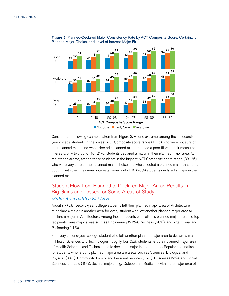

Figure 3. Planned-Declared Major Consistency Rate by ACT Composite Score, Certainty of Planned Major Choice, and Level of Interest-Major Fit

Consider the following example taken from Figure 3. At one extreme, among those secondyear college students in the lowest ACT Composite score range (1–15) who were not sure of their planned major and who selected a planned major that had a poor fit with their measured interests, only two out of 10 (21%) students declared a major in their planned major area. At the other extreme, among those students in the highest ACT Composite score range (33–36) who were very sure of their planned major choice and who selected a planned major that had a good fit with their measured interests, seven out of 10 (70%) students declared a major in their planned major area.

### Student Flow from Planned to Declared Major Areas Results in Big Gains and Losses for Some Areas of Study *Major Areas with a Net Loss*

About six (5.8) second-year college students left their planned major area of Architecture to declare a major in another area for every student who left another planned major area to declare a major in Architecture. Among those students who left this planned major area, the top recipients were major areas such as Engineering (21%); Business (20%); and Arts: Visual and Performing (11%).

For every second-year college student who left another planned major area to declare a major in Health Sciences and Technologies, roughly four (3.8) students left their planned major area of Health Sciences and Technologies to declare a major in another area. Popular destinations for students who left this planned major area are areas such as Sciences: Biological and Physical (33%); Community, Family, and Personal Services (16%); Business (12%); and Social Sciences and Law (11%). Several majors (e.g., Osteopathic Medicine) within the major area of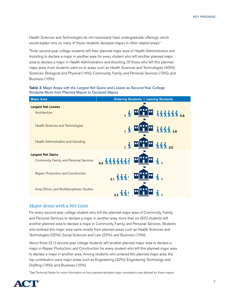Health Sciences and Technologies do not necessarily have undergraduate offerings, which would explain why so many of these students declared majors in other related areas.\*

Three second-year college students left their planned major area of Health Administration and Assisting to declare a major in another area for every student who left another planned major area to declare a major in Health Administration and Assisting. Of those who left this planned major area, most students went on to areas such as Health Sciences and Technologies (40%); Sciences: Biological and Physical (14%); Community, Family, and Personal Services (13%); and Business (10%).

Table 3. Major Areas with the Largest Net Gains and Losses as Second-Year College Students Move from Planned Majors to Declared Majors

| <b>Major Area</b>                           | <b>Entering Students   Leaving Students</b>                                                            |
|---------------------------------------------|--------------------------------------------------------------------------------------------------------|
| <b>Largest Net Losses</b><br>Architecture   | : 'r<br>長來來來來 5.8                                                                                      |
| <b>Health Sciences and Technologies</b>     | <b>大家味 38</b><br>$\ddot{\textbf{r}}$                                                                   |
| <b>Health Administration and Assisting</b>  | <b>桑桑桑 30</b><br> " <br>$\sqrt{k}$                                                                     |
| <b>Largest Net Gains</b>                    |                                                                                                        |
| Community, Family, and Personal Services    | AH & 1<br>6.5 天天天天天天气<br>ш                                                                             |
| Repair, Production, and Construction        | $\lambda$ <sub>1</sub><br>u<br>$3.1\,$ $\frac{2}{3}\,$ $\frac{2}{3}\,$ $\frac{2}{3}\,$ $\frac{2}{3}\,$ |
| Area, Ethnic, and Multidisciplinary Studies |                                                                                                        |

### *Major Areas with a Net Gain*

For every second-year college student who left the planned major area of Community, Family, and Personal Services to declare a major in another area, more than six (6.5) students left another planned area to declare a major in Community, Family, and Personal Services. Students who entered this major area came mostly from planned areas such as Health Sciences and Technologies (32%); Social Sciences and Law (22%); and Business (10%).

About three (3.1) second-year college students left another planned major area to declare a major in Repair, Production, and Construction for every student who left this planned major area to declare a major in another area. Among students who entered this planned major area, the top contributors were major areas such as Engineering (32%); Engineering Technology and Drafting (14%); and Business (10%).

\*See Technical Notes for more information on how planned-declared major consistency was defined for these majors.

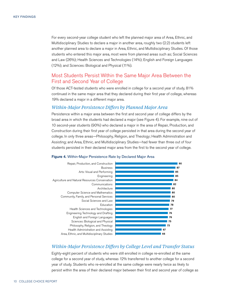For every second-year college student who left the planned major area of Area, Ethnic, and Multidisciplinary Studies to declare a major in another area, roughly two (2.2) students left another planned area to declare a major in Area, Ethnic, and Multidisciplinary Studies. Of those students who entered this major area, most were from planned areas such as; Social Sciences and Law (26%); Health Sciences and Technologies (14%); English and Foreign Languages (12%); and Sciences: Biological and Physical (11%).

### Most Students Persist Within the Same Major Area Between the First and Second Year of College

Of those ACT-tested students who were enrolled in college for a second year of study, 81% continued in the same major area that they declared during their first year of college, whereas 19% declared a major in a different major area.

### *Within-Major Persistence Differs by Planned Major Area*

Persistence within a major area between the first and second year of college differs by the broad area in which the students had declared a major (see Figure 4). For example, nine out of 10 second-year students (90%) who declared a major in the area of Repair, Production, and Construction during their first year of college persisted in that area during the second year of college. In only three areas—Philosophy, Religion, and Theology; Health Administration and Assisting; and Area, Ethnic, and Multidisciplinary Studies—had fewer than three out of four students persisted in their declared major area from the first to the second year of college.

#### Figure 4. Within-Major Persistence Rate by Declared Major Area



### *Within-Major Persistence Differs by College Level and Transfer Status*

Eighty-eight percent of students who were still enrolled in college re-enrolled at the same college for a second year of study, whereas 12% transferred to another college for a second year of study. Students who re-enrolled at the same college were nearly twice as likely to persist within the area of their declared major between their first and second year of college as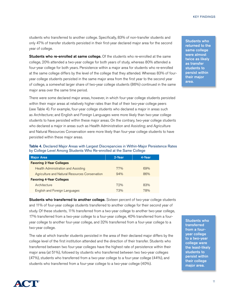students who transferred to another college. Specifically, 83% of non-transfer students and only 47% of transfer students persisted in their first-year declared major area for the second year of college.

Students who re-enrolled at same college. Of the students who re-enrolled at the same college, 20% attended a two-year college for both years of study, whereas 80% attended a four-year college for both years. Persistence within a major area for students who re-enrolled at the same college differs by the level of the college that they attended. Whereas 83% of fouryear college students persisted in the same major area from the first year to the second year of college, a somewhat larger share of two-year college students (86%) continued in the same major area over the same time period.

There were some declared major areas, however, in which four-year college students persisted within their major areas at relatively higher rates than that of their two-year college peers (see Table 4). For example, four-year college students who declared a major in areas such as Architecture; and English and Foreign Languages were more likely than two-year college students to have persisted within these major areas. On the contrary, two-year college students who declared a major in areas such as Health Administration and Assisting; and Agriculture and Natural Resources Conservation were more likely than four-year college students to have persisted within these major areas.

|  |  |                                                                     | Table 4. Declared Major Areas with Largest Discrepancies in Within-Major Persistence Rates |
|--|--|---------------------------------------------------------------------|--------------------------------------------------------------------------------------------|
|  |  | by College Level Among Students Who Re-enrolled at the Same College |                                                                                            |

| <b>Major Area</b>                              | 2-Year | 4-Year |
|------------------------------------------------|--------|--------|
| <b>Favoring 2-Year Colleges</b>                |        |        |
| <b>Health Administration and Assisting</b>     | 77%    | 69%    |
| Agriculture and Natural Resources Conservation | 94%    | 86%    |
| <b>Favoring 4-Year Colleges</b>                |        |        |
| Architecture                                   | 79%    | 83%    |
| <b>English and Foreign Languages</b>           | 73%    | 78%    |

Students who transferred to another college. Sixteen percent of two-year college students and 11% of four-year college students transferred to another college for their second year of study. Of these students, 11% transferred from a two-year college to another two-year college, 17% transferred from a two-year college to a four-year college, 40% transferred from a fouryear college to another four-year college, and 32% transferred from a four-year college to a two-year college.

The rate at which transfer students persisted in the area of their declared major differs by the college level of the first institution attended and the direction of their transfer. Students who transferred between two four-year colleges have the highest rate of persistence within their major area (at 51%), followed by students who transferred between two two-year colleges (47%), students who transferred from a two-year college to a four-year college (44%), and students who transferred from a four-year college to a two-year college (40%).

Students who returned to the same college were almost twice as likely as transfer students to persist within their major

area.

Students who transferred from a fouryear college to a two-year college were the least-likely students to persist within their college major area.

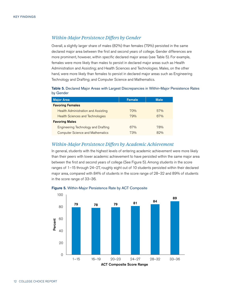### *Within-Major Persistence Differs by Gender*

Overall, a slightly larger share of males (82%) than females (79%) persisted in the same declared major area between the first and second years of college. Gender differences are more prominent, however, within specific declared major areas (see Table 5). For example, females were more likely than males to persist in declared major areas such as Health Administration and Assisting; and Health Sciences and Technologies. Males, on the other hand, were more likely than females to persist in declared major areas such as Engineering Technology and Drafting; and Computer Science and Mathematics.

Table 5. Declared Major Areas with Largest Discrepancies in Within-Major Persistence Rates by Gender

| <b>Major Area</b>                          | <b>Female</b> | <b>Male</b> |
|--------------------------------------------|---------------|-------------|
| <b>Favoring Females</b>                    |               |             |
| <b>Health Administration and Assisting</b> | 70%           | 57%         |
| <b>Health Sciences and Technologies</b>    | 79%           | 67%         |
| <b>Favoring Males</b>                      |               |             |
| <b>Engineering Technology and Drafting</b> | 67%           | 78%         |
| <b>Computer Science and Mathematics</b>    | 73%           | 82%         |

### *Within-Major Persistence Differs by Academic Achievement*

In general, students with the highest levels of entering academic achievement were more likely than their peers with lower academic achievement to have persisted within the same major area between the first and second years of college (See Figure 5). Among students in the score ranges of 1–15 through 24–27, roughly eight out of 10 students persisted within their declared major area, compared with 84% of students in the score range of 28–32 and 89% of students in the score range of 33–36.



#### Figure 5. Within-Major Persistence Rate by ACT Composite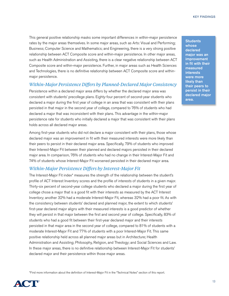This general positive relationship masks some important differences in within-major persistence rates by the major areas themselves. In some major areas, such as Arts: Visual and Performing; Business; Computer Science and Mathematics; and Engineering, there is a very strong positive relationship between ACT Composite score and within-major persistence. In other major areas, such as Health Administration and Assisting, there is a clear negative relationship between ACT Composite score and within-major persistence. Further, in major areas such as Health Sciences and Technologies, there is no definitive relationship between ACT Composite score and withinmajor persistence.

### *Within-Major Persistence Differs by Planned-Declared Major Consistency*

Persistence within a declared major area differs by whether the declared major area was consistent with students' precollege plans. Eighty-four percent of second-year students who declared a major during the first year of college in an area that was consistent with their plans persisted in that major in the second year of college, compared to 76% of students who had declared a major that was inconsistent with their plans. This advantage in the within-major persistence rate for students who initially declared a major that was consistent with their plans holds across all declared major areas.

Among first-year students who did not declare a major consistent with their plans, those whose declared major was an improvement in fit with their measured interests were more likely than their peers to persist in their declared major area. Specifically, 79% of students who improved their Interest-Major Fit between their planned and declared majors persisted in their declared major area. In comparison, 76% of students who had no change in their Interest-Major Fit and 74% of students whose Interest-Major Fit worsened persisted in their declared major area.

### *Within-Major Persistence Differs by Interest-Major Fit*

The Interest-Major Fit index\* measures the strength of the relationship between the student's profile of ACT Interest Inventory scores and the profile of interests of students in a given major. Thirty-six percent of second-year college students who declared a major during the first year of college chose a major that is a good fit with their interests as measured by the ACT Interest Inventory; another 32% had a moderate Interest-Major Fit, whereas 32% had a poor fit. As with the consistency between students' declared and planned major, the extent to which students' first-year declared major aligns with their measured interests is a good predictor of whether they will persist in that major between the first and second year of college. Specifically, 83% of students who had a good fit between their first-year declared major and their interests persisted in that major area in the second year of college, compared to 81% of students with a moderate Interest-Major Fit and 77% of students with a poor Interest-Major Fit. This same positive relationship held across all planned major areas but in Architecture; Health Administration and Assisting; Philosophy, Religion, and Theology; and Social Sciences and Law. In these major areas, there is no definitive relationship between Interest-Major Fit for students' declared major and their persistence within those major areas.

\*Find more information about the definition of Interest-Major Fit in the "Technical Notes" section of this report.



**Students** whose declared major was an improvement in fit with their measured interests were more likely than their peers to persist in their declared major area.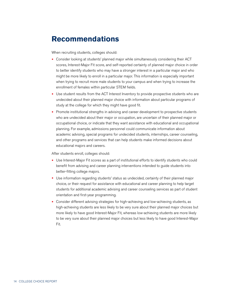# **Recommendations**

When recruiting students, colleges should:

- Consider looking at students' planned major while simultaneously considering their ACT scores, Interest-Major Fit score, and self-reported certainty of planned major choice in order to better identify students who may have a stronger interest in a particular major and who might be more likely to enroll in a particular major. This information is especially important when trying to recruit more male students to your campus and when trying to increase the enrollment of females within particular STEM fields.
- Use student results from the ACT Interest Inventory to provide prospective students who are undecided about their planned major choice with information about particular programs of study at the college for which they might have good fit.
- Promote institutional strengths in advising and career development to prospective students who are undecided about their major or occupation, are uncertain of their planned major or occupational choice, or indicate that they want assistance with educational and occupational planning. For example, admissions personnel could communicate information about academic advising, special programs for undecided students, internships, career counseling, and other programs and services that can help students make informed decisions about educational majors and careers.

After students enroll, colleges should:

- Use Interest-Major Fit scores as a part of institutional efforts to identify students who could benefit from advising and career planning interventions intended to guide students into better-fitting college majors.
- Use information regarding students' status as undecided, certainty of their planned major choice, or their request for assistance with educational and career planning to help target students for additional academic advising and career counseling services as part of student orientation and first-year programming.
- Consider different advising strategies for high-achieving and low-achieving students, as high-achieving students are less likely to be very sure about their planned major choices but more likely to have good Interest-Major Fit, whereas low-achieving students are more likely to be very sure about their planned major choices but less likely to have good Interest-Major Fit.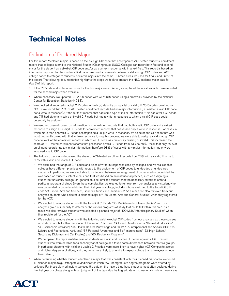# **Technical Notes**

### Definition of Declared Major

For this report, "declared major" is based on the six-digit CIP code that accompanies ACT-tested students' enrollment record that colleges submit to the National Student Clearinghouse (NSC). Colleges can report both first and second major for the student as a six-digit CIP code and/or as a write-in response within a text field. This report is based on information reported for the students' first major. We used a crosswalk between valid six-digit CIP codes and ACT college codes to categorize students' declared majors into the same 18 broad areas we used for *Part 1* and *Part 2* of this report. The following documentation highlights the steps we took to prepare the NSC declared major data for *Part 3* of this report.

- If the CIP code and write-in response for the first major were missing, we replaced these values with those reported for the second major, when available.
- Where necessary, we updated CIP 2000 codes with CIP 2010 codes using a crosswalk provided by the National Center for Education Statistics (NCES).
- We checked all reported six-digit CIP codes in the NSC data file using a list of valid CIP 2010 codes provided by NCES. We found that 20% of ACT-tested enrollment records had no major information (i.e., neither a valid CIP code nor a write-in response). Of the 80% of records that had some type of major information, 73% had a valid CIP code and 7% had either a missing or invalid CIP code but had a write-in response to which a valid CIP code could potentially be assigned.
- We used a crosswalk based on information from enrollment records that had both a valid CIP code and a write-in response to assign a six-digit CIP code for enrollment records that possessed only a write-in response. For cases in which more than one valid CIP code accompanied a unique write-in response, we selected the CIP code that was most frequently paired with that write-in response. Using this process, we were able to assign a valid six-digit CIP code to 74% of the enrollment records in which a CIP code was previously missing or invalid. This increased the share of ACT-tested enrollment records that possessed a valid CIP code from 73% to 78%. Recall that only 80% of enrollment records had any major information; therefore, 98% of cases with any major information had or were assigned a valid CIP code.
- The following decisions decreased the share of ACT-tested enrollment records from 78% with a valid CIP code to 60% with a valid and usable CIP code:
	- We examined the range of CIP codes and types of write-in responses used by colleges, and we realized that colleges have different practices with regard to the assignment of CIP codes to undecided or undeclared students. In particular, we were not able to distinguish between an assignment of undeclared or undecided that was based on students' intent versus one that was based on an institutional practice, such as assigning a student to "university college" or "general studies" until the student met the necessary criteria to enter a particular program of study. Given these complexities, we elected to remove from our analyses any student who was undecided or undeclared during their first year of college, including those assigned to the two-digit CIP code "24. Liberal Arts and Sciences, General Studies and Humanities." As a result, we also removed from our analyses students who selected a planned major of "170 Liberal Arts and General Studies" when they registered for the ACT.
	- We elected to remove students with the two-digit CIP code "30. Multi/Interdisciplinary Studies" from our analyses given our inability to determine the various programs of study that could fall within this area. As a result, we also removed students who selected a planned major of "190 Multi/Interdisciplinary Studies" when they registered for the ACT.
	- We elected to remove students with the following valid two-digit CIP codes from our analyses, as these courses of study did not fall within the scope of this report: "32. Basic Skills and Developmental/Remedial Education," "33. Citizenship Activities," "34. Health-Related Knowledge and Skills," "35. Interpersonal and Social Skills," "36. Leisure and Recreational Activities," "37. Personal Awareness and Self-Improvement," "53. High School/ Secondary Diplomas and Certificates," and "60. Residency Programs."
	- ~ We compared the representativeness of students with valid and usable CIP codes against all ACT-tested students who were enrolled for a second year of college and found some differences between the two groups. In particular, students with valid and usable CIP codes were more likely to have higher ACT Composite scores and higher degree aspirations, and they were more likely to attend a four-year college than a two-year college (see Table 6).
- When determining whether students declared a major that was consistent with their planned major area, we found 17 planned majors (e.g., Osteopathic Medicine) for which few undergraduate degree programs were offered by colleges. For these planned majors, we used the data on the majors that these students most often declared during the first year of college along with our judgment of the typical paths to graduate or professional study in these areas

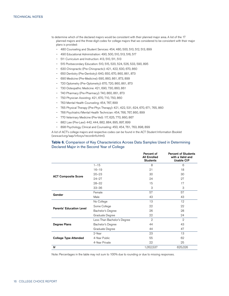- to determine which of the declared majors would be consistent with their planned major area. A list of the 17 planned majors and the three-digit codes for college majors that we considered to be consistent with their major plans is provided:
	- ~ 480 Counseling and Student Services: 454, 480, 500, 510, 512, 513, 899
	- ~ 490 Educational Administration: 490, 500, 510, 513, 516, 517
	- ~ 511 Curriculum and Instruction: 413, 510, 511, 513
	- ~ 515 Postsecondary Education: 510, 515, 520, 524, 526, 533, 590, 895
	- ~ 630 Chiropractic (Pre-Chiropractic): 421, 422, 630, 670, 860
	- ~ 650 Dentistry (Pre-Dentistry): 640, 650, 670, 860, 861, 873
	- ~ 690 Medicine (Pre-Medicine): 690, 860, 861, 873, 899
	- ~ 720 Optometry (Pre-Optometry): 670, 720, 860, 861, 873
	- ~ 730 Osteopathic Medicine: 421, 690, 730, 860, 861
	- ~ 740 Pharmacy (Pre-Pharmacy): 740, 860, 861, 873
	- ~ 750 Physician Assisting: 421, 670, 710, 750, 860
	- ~ 763 Mental Health Counseling: 454, 767, 899
	- ~ 765 Physical Therapy (Pre-Phys Therapy): 421, 422, 531, 624, 670, 671, 765, 860
	- ~ 766 Psychiatric/Mental Health Technician: 454, 766, 767, 860, 899
	- ~ 770 Veterinary Medicine (Pre-Vet): 117, 625, 770, 860, 867
	- ~ 882 Law (Pre-Law): 442, 444, 882, 884, 895, 897, 899
	- ~ 898 Psychology, Clinical and Counseling: 450, 454, 761, 763, 898, 899

A list of ACT's college majors and respective codes can be found in the ACT Student Information Booklet [\(www.act.org/aap/infosys/recordinfo.html](www.act.org/aap/infosys/recordinfo.html)).

### Table 6. Comparison of Key Characteristics Across Data Samples Used in Determining Declared Major in the Second Year of College

|                                 |                             | Percent of<br><b>All Enrolled</b><br><b>Students</b> | <b>Percent of Students</b><br>with a Valid and<br><b>Usable CIP</b> |
|---------------------------------|-----------------------------|------------------------------------------------------|---------------------------------------------------------------------|
|                                 | $1 - 15$                    | 8                                                    | 6                                                                   |
|                                 | $16 - 19$                   | 21                                                   | 18                                                                  |
|                                 | $20 - 23$                   | 30                                                   | 30                                                                  |
| <b>ACT Composite Score</b>      | $24 - 27$                   | 24                                                   | 27                                                                  |
|                                 | $28 - 32$                   | 15                                                   | 17                                                                  |
|                                 | $33 - 36$                   | 3                                                    | 3                                                                   |
| Gender                          | Female                      | 57                                                   | 57                                                                  |
|                                 | Male                        | 43                                                   | 43                                                                  |
|                                 | No College                  | 13                                                   | 12                                                                  |
| <b>Parents' Education Level</b> | Some College                | 22                                                   | 22                                                                  |
|                                 | Bachelor's Degree           | 26                                                   | 28                                                                  |
|                                 | Graduate Degree             | 22                                                   | 24                                                                  |
|                                 | Less Than Bachelor's Degree | $\overline{2}$                                       | $\mathfrak{2}$                                                      |
| Degree Plans                    | Bachelor's Degree           | 44                                                   | 43                                                                  |
|                                 | Graduate Degree             | 44                                                   | 47                                                                  |
|                                 | 2-Year                      | 23                                                   | 13                                                                  |
| <b>College Type Attended</b>    | 4-Year Public               | 55                                                   | 62                                                                  |
|                                 | 4-Year Private              | 22                                                   | 25                                                                  |
| N                               |                             | 1,052,537                                            | 625,026                                                             |

Note: Percentages in the table may not sum to 100% due to rounding or due to missing responses.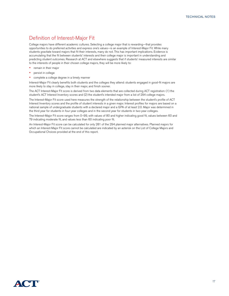### Definition of Interest-Major Fit

College majors have different academic cultures. Selecting a college major that is rewarding—that provides opportunities to do preferred activities and express one's values—is an example of Interest-Major Fit. While many students gravitate toward majors that fit their interests, many do not. This has important implications. Evidence is accumulating that the fit between students' interests and their college major is important in understanding and predicting student outcomes. Research at ACT and elsewhere suggests that if students' measured interests are similar to the interests of people in their chosen college majors, they will be more likely to:

- remain in their major
- persist in college
- complete a college degree in a timely manner

Interest-Major Fit clearly benefits both students and the colleges they attend: students engaged in good-fit majors are more likely to stay in college, stay in their major, and finish sooner.

The ACT Interest-Major Fit score is derived from two data elements that are collected during ACT registration: (1) the student's ACT Interest Inventory scores and (2) the student's intended major from a list of 294 college majors.

The Interest-Major Fit score used here measures the strength of the relationship between the student's profile of ACT Interest Inventory scores and the profile of student interests in a given major. Interest profiles for majors are based on a national sample of undergraduate students with a declared major and a GPA of at least 2.0. Major was determined in the third year for students in four-year colleges and in the second year for students in two-year colleges.

The Interest-Major Fit score ranges from 0–99, with values of 80 and higher indicating good fit, values between 60 and 79 indicating moderate fit, and values less than 60 indicating poor fit.

An Interest-Major Fit score can be calculated for only 281 of the 294 planned major alternatives. Planned majors for which an Interest-Major Fit score cannot be calculated are indicated by an asterisk on the List of College Majors and Occupational Choices provided at the end of this report.

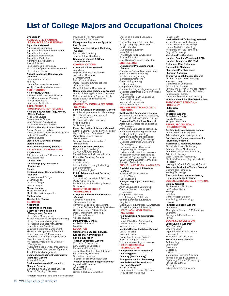# **List of College Majors and Occupational Choices**

Undecided\*

#### AGRICULTURE & NATURAL RESOURCES CONSERVATION

Agriculture, General Agribusiness Operations Agricultural Business & Management Agricultural Economics Agricultural Mechanization Agricultural Production Agronomy & Crop Science Animal Sciences Food Sciences & Technology Horticulture Operations & Management Horticulture Science Natural Resources Conservation, **General** Environmental Science

Forestry Natural Resources Management Wildlife & Wildlands Management **ARCHITECTURE** 

### Architecture, General

Architectural Environmental Design City/Urban/Regional Planning Interior Architecture Landscape Architecture

### AREA, ETHNIC, & MULTIDISCIPLINARY STUDIES

Area Studies, General (e.g., African, Middle Eastern) Asian Area Studies European Area Studies Latin American Area Studies North American Area Studies

### Ethnic & Minority Studies, General African American Studies American Indian/Native American Studies

Latino/Chicano Studies Women's Studies

Liberal Arts & General Studies\* Library Science Multi/Interdisciplinary Studies\*

#### ARTS: VISUAL & PERFORMING Art, General

Art History, Criticism & Conservation Fine/Studio Arts Cinema/Film

#### Cinematography/Film/Video Production Dance

Design & Visual Communications, **General** 

Fashion/Apparel Design Graphic Design Industrial Design Interior Design

Music, General Music, Performance Music, Theory & Composition

Photography Theatre Arts/Drama BUSINESS

Accounting

#### Accounting Technician Business Administration & Management, General

Hotel/Motel Management Human Resources Development/Training Human Resources Management International Business Management Labor/Industrial Relations Logistics & Materials Management Marketing Management & Research Office Supervision & Management Operations Management & Supervision Organizational Behavior Purchasing/Procurement/Contracts

Management Restaurant/Food Services Management Small Business Management/Operations Travel/Tourism Management Business/Management Quantitative Methods, General

Actuarial Science<sup>\*</sup>

#### Business/Managerial Economics Finance, General

Banking & Financial Support Services Financial Planning & Services

\* Interest-Major Fit score cannot be calculated.

Insurance & Risk Management Investments & Securities Management Information Systems Real Estate Sales, Merchandising, & Marketing, General Fashion Merchandising Tourism & Travel Marketing

#### Secretarial Studies & Office Administration

### **COMMUNICATIONS**

Communications, General Advertising Digital Communications/Media Journalism, Broadcast Journalism, Print Mass Communications Public Relations & Organizational Communication

#### Radio & Television Broadcasting Communications Technology, General

Graphic & Printing Equipment Operation\* Multimedia/Animation/Special Effects Radio & Television Broadcasting

#### Technology\* COMMUNITY, FAMILY, & PERSONAL **SERVICES**

Family & Consumer Sciences, General Adult Development & Aging/Gerontology Child Care Services Management Child Development Consumer & Family Economics Food & Nutrition Textile & Apparel Parks, Recreation, & Leisure, General Exercise Science/Physiology/Kinesiology Health & Physical Education/Fitness

Parks/Rec/Leisure Facilities Management Sport & Fitness Administration/ Management

Personal Services, General<sup>\*</sup> Cosmetology/Hairstyling\* Culinary Arts/Chef Training

#### Funeral Services & Mortuary Science Protective Services, General

Corrections Criminal Justice Fire Protection & Safety Technology Law Enforcement Military Technologies\* Public Administration & Services, General Community Organization & Advocacy Public Administration Public Affairs & Public Policy Analysis

### Social Work COMPUTER SCIENCE & MATHEMATICS

Computer & Information Sciences, General

Computer Networking/ Telecommunications Computer Science & Programming Computer Software & Media Applications Computer System Administration Data Management Technology Information Science Webpage Design

Mathematics, General Applied Mathematics Statistics **EDUCATION** 

Counseling & Student Services Educational Administration

#### Special Education Teacher Education, General

Curriculum & Instruction Early Childhood Education Elementary Education Junior High/Middle School Education Postsecondary Education Secondary Education Teacher Assisting/Aide Education Teacher Education, Subject-Specific\* Agricultural Education Art Education Business Education Career & Technical Education

English-as-a-Second-Language **Education** English/Language Arts Education Foreign Languages Education Health Education Mathematics Education Music Education Physical Education & Coaching Science Education Social Studies/Sciences Education ENGINEERING

### Engineering (Pre-Engineering),

General Aerospace/Aeronautical Engineering Agricultural/Bioengineering Architectural Engineering Biomedical Engineering Chemical Engineering Civil Engineering Computer Engineering Construction Engineering/Management Electrical, Electronics & Communications Engineering Environmental Health Engineering Industrial Engineering Mechanical Engineering Nuclear Engineering ENGINEERING TECHNOLOGY &

### DRAFTING

Drafting/CAD Technology, General Architectural Drafting/CAD Technology Mechanical Drafting/CAD Technology

Engineering Technology, General Aeronautical/Aerospace Engineering Technologies Architectural Engineering Technology Automotive Engineering Technology Civil Engineering Technology Computer Engineering Technology Construction/Building Technology Electrical, Electronics Engineering **Technologies** Electromechanical/Biomedical Engineering Technologies Environmental Control Technologies

Industrial Production Technologies Mechanical Engineering Technology Quality Control & Safety Technologies Surveying Technology<br>**ENGLISH & FOREIGN LANGUAGES** 

### English Language & Literature,

General American/English Literature Creative Writing Public Speaking Foreign Languages/Literatures, **General** Asian Languages & Literatures Classical/Ancient Languages & Literatures Comparative Literature French Language & Literature German Language & Literature **Linguistics** Middle Eastern Languages & Literatures Spanish Language & Literature HEALTH ADMINISTRATION & ASSISTING

Health Services Administration, General Hospital/Facilities Administration

Medical Office/Secretarial Medical Records Medical/Clinical Assisting, General Dental Assisting Medical Assisting Occupational Therapy Assisting Physical Therapy Assisting Veterinarian Assisting/Technology

#### HEALTH SCIENCES & **TECHNOLOGIES**

Chiropractic (Pre-Chiropractic) Dental Hygiene Dentistry (Pre-Dentistry) Emergency Medical Technology Health-Related Professions & Services, General\* Athletic Training Communication Disorder Services (e.g., Speech Pathology)

#### Public Health

Health/Medical Technology, General Medical Laboratory Technology Medical Radiologic Technology Nuclear Medicine Technology Respiratory Therapy Technology Surgical Technology Medicine (Pre-Medicine)

Nursing, Practical/Vocational (LPN) Nursing, Registered (BS/RN) Optometry (Pre-Optometry) Osteopathic Medicine

#### Pharmacy (Pre-Pharmacy) Physician Assisting

Therapy & Rehabilitation, General Alcohol/Drug Abuse Counseling Massage Therapy Mental Health Counseling Occupational Therapy Physical Therapy (Pre-Physical Therapy) Psychiatric/Mental Health Technician Rehabilitation Therapy Vocational Rehabilitation Counseling

Veterinary Medicine (Pre-Veterinarian) PHILOSOPHY, RELIGION, &

**THEOLOGY** Philosophy

#### Religion

Theology, General Bible/Biblical Studies Divinity/Ministry Religious Education REPAIR, PRODUCTION, &

### **CONSTRUCTION**

Aviation & Airway Science, General Aircraft Piloting & Navigation Aviation Management & Operations

Construction Trades (e.g., carpentry, plumbing, electrical)

### Mechanics & Repairers, General

Aircraft Mechanics/Technology Autobody Repair/Technology Automotive Mechanics/Technology

Avionics Technology Diesel Mechanics/Technology Electrical/Electronics Equip Installation

& Repair Heating/Air Cond/Refrig Install/Repair

**Precision Production Trades, General<br>Machine Tool Technology** Welding Technology

#### Transportation & Materials Moving (e.g., air, ground, & marine) SCIENCES: BIOLOGICAL & PHYSICAL

Biology, General Biochemistry & Biophysics Cell/Cellular Biology

Ecology Genetics Marine/Aquatic Biology Microbiology & Immunology

#### Zoology Physical Sciences, General

Astronomy Atmospheric Sciences & Meteorology Chemistry Geological & Earth Sciences **Physics** 

#### SOCIAL SCIENCES & LAW

Legal Studies, General\* Court Reporting' Law (Pre-Law) Legal Administrative Assisting/ Secretarial<sup>\*</sup> Paralegal/Legal Assistant Social Sciences, General Anthropology **Criminology Economics** Geography History International Relations & Affairs Political Science & Government Psychology, Clinical & Counseling Psychology, General Sociology Urban Studies/Urban Affairs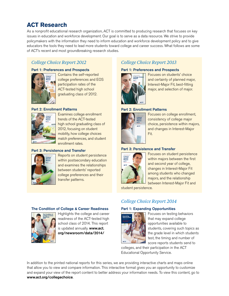# **ACT Research**

As a nonprofit educational research organization, ACT is committed to producing research that focuses on key issues in education and workforce development. Our goal is to serve as a data resource. We strive to provide policymakers with the information they need to inform education and workforce development policy and to give educators the tools they need to lead more students toward college and career success. What follows are some of ACT's recent and most groundbreaking research studies.

### *College Choice Report 2012*

### Part 1: Preferences and Prospects



Contains the self-reported college preferences and EOS participation rates of the ACT-tested high school graduating class of 2012.

### Part 2: Enrollment Patterns



Examines college enrollment trends of the ACT-tested high school graduating class of 2012, focusing on student mobility, how college choices match preferences, and student enrollment rates.

### Part 3: Persistence and Transfer



Reports on student persistence within postsecondary education and examines the relationships between students' reported college preferences and their transfer patterns.

## *College Choice Report 2013*

### Part 1: Preferences and Prospects



Focuses on students' choice and certainty of planned major, Interest-Major Fit, best-fitting major, and selection of major.

### Part 2: Enrollment Patterns



Focuses on college enrollment, consistency of college major choice, persistence within majors, and changes in Interest-Major Fit.

### Part 3: Persistence and Transfer



Focuses on student persistence within majors between the first and second year of college, changes in Interest-Major Fit among students who changed majors, and the relationship between Interest-Major Fit and

student persistence.

### The Condition of College & Career Readiness



Highlights the college and career readiness of the ACT-tested high school class of 2014. This report is updated annually. [www.act.](www.act.org/newsroom/data/2014/) [org/newsroom/data/2014/](www.act.org/newsroom/data/2014/)

### *College Choice Report 2014*

### Part 1: Expanding Opportunities



Focuses on testing behaviors that may expand college opportunities available to students, covering such topics as the grade level in which students test, the timing and number of score reports students send to

colleges, and their participation in the ACT Educational Opportunity Service.

In addition to the printed national reports for this series, we are providing interactive charts and maps online that allow you to view and compare information. This interactive format gives you an opportunity to customize and expand your view of the report content to better address your information needs. To view this content, go to <www.act.org/collegechoice>.